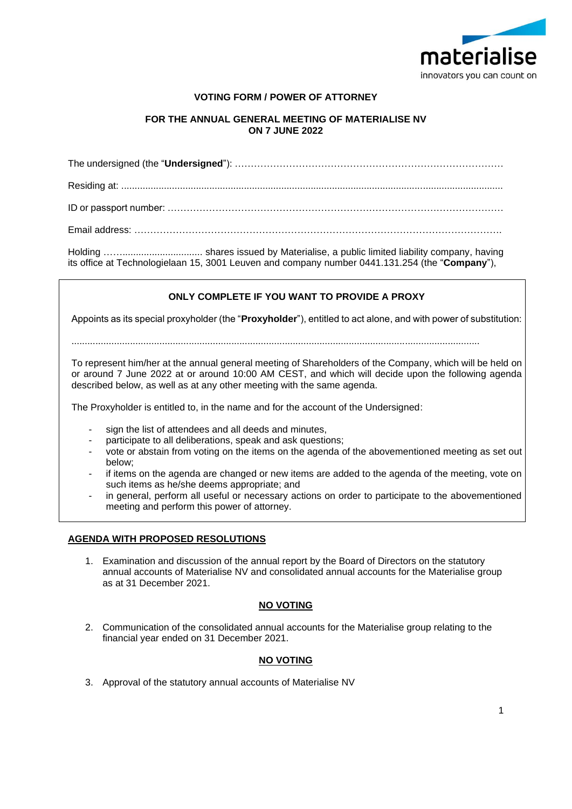

# **VOTING FORM / POWER OF ATTORNEY**

# **FOR THE ANNUAL GENERAL MEETING OF MATERIALISE NV ON 7 JUNE 2022**

The undersigned (the "**Undersigned**"): ………………………………………………………………………… Residing at: ............................................................................................................................................... ID or passport number: …………………………………………………………………………………………… Email address: …………………………………………………………………………………………………….

Holding …….............................. shares issued by Materialise, a public limited liability company, having its office at Technologielaan 15, 3001 Leuven and company number 0441.131.254 (the "**Company**"),

# **ONLY COMPLETE IF YOU WANT TO PROVIDE A PROXY**

Appoints as its special proxyholder (the "**Proxyholder**"), entitled to act alone, and with power of substitution:

.........................................................................................................................................................

To represent him/her at the annual general meeting of Shareholders of the Company, which will be held on or around 7 June 2022 at or around 10:00 AM CEST, and which will decide upon the following agenda described below, as well as at any other meeting with the same agenda.

The Proxyholder is entitled to, in the name and for the account of the Undersigned:

- sign the list of attendees and all deeds and minutes,
- participate to all deliberations, speak and ask questions;
- vote or abstain from voting on the items on the agenda of the abovementioned meeting as set out below;
- if items on the agenda are changed or new items are added to the agenda of the meeting, vote on such items as he/she deems appropriate; and
- in general, perform all useful or necessary actions on order to participate to the abovementioned meeting and perform this power of attorney.

## **AGENDA WITH PROPOSED RESOLUTIONS**

1. Examination and discussion of the annual report by the Board of Directors on the statutory annual accounts of Materialise NV and consolidated annual accounts for the Materialise group as at 31 December 2021.

# **NO VOTING**

2. Communication of the consolidated annual accounts for the Materialise group relating to the financial year ended on 31 December 2021.

## **NO VOTING**

3. Approval of the statutory annual accounts of Materialise NV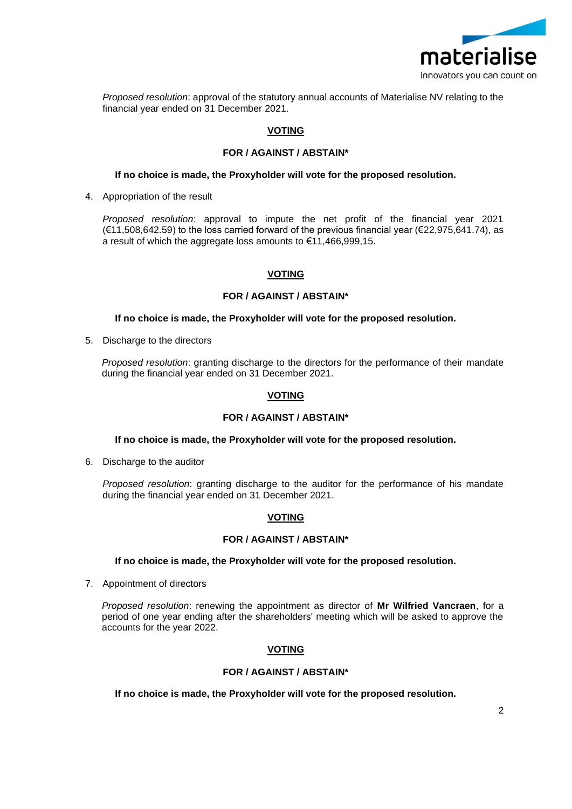

*Proposed resolution*: approval of the statutory annual accounts of Materialise NV relating to the financial year ended on 31 December 2021.

## **VOTING**

### **FOR / AGAINST / ABSTAIN\***

#### **If no choice is made, the Proxyholder will vote for the proposed resolution.**

4. Appropriation of the result

*Proposed resolution*: approval to impute the net profit of the financial year 2021 (€11,508,642.59) to the loss carried forward of the previous financial year (€22,975,641.74), as a result of which the aggregate loss amounts to €11,466,999,15.

## **VOTING**

#### **FOR / AGAINST / ABSTAIN\***

#### **If no choice is made, the Proxyholder will vote for the proposed resolution.**

5. Discharge to the directors

*Proposed resolution*: granting discharge to the directors for the performance of their mandate during the financial year ended on 31 December 2021.

# **VOTING**

#### **FOR / AGAINST / ABSTAIN\***

#### **If no choice is made, the Proxyholder will vote for the proposed resolution.**

6. Discharge to the auditor

*Proposed resolution*: granting discharge to the auditor for the performance of his mandate during the financial year ended on 31 December 2021.

## **VOTING**

#### **FOR / AGAINST / ABSTAIN\***

**If no choice is made, the Proxyholder will vote for the proposed resolution.**

7. Appointment of directors

*Proposed resolution*: renewing the appointment as director of **Mr Wilfried Vancraen**, for a period of one year ending after the shareholders' meeting which will be asked to approve the accounts for the year 2022.

## **VOTING**

### **FOR / AGAINST / ABSTAIN\***

**If no choice is made, the Proxyholder will vote for the proposed resolution.**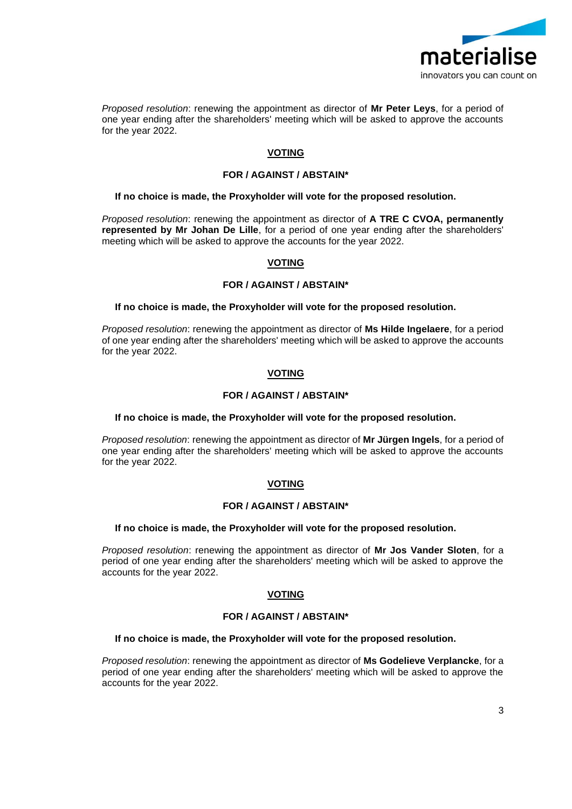

*Proposed resolution*: renewing the appointment as director of **Mr Peter Leys**, for a period of one year ending after the shareholders' meeting which will be asked to approve the accounts for the year 2022.

# **VOTING**

### **FOR / AGAINST / ABSTAIN\***

### **If no choice is made, the Proxyholder will vote for the proposed resolution.**

*Proposed resolution*: renewing the appointment as director of **A TRE C CVOA, permanently represented by Mr Johan De Lille**, for a period of one year ending after the shareholders' meeting which will be asked to approve the accounts for the year 2022.

## **VOTING**

### **FOR / AGAINST / ABSTAIN\***

#### **If no choice is made, the Proxyholder will vote for the proposed resolution.**

*Proposed resolution*: renewing the appointment as director of **Ms Hilde Ingelaere**, for a period of one year ending after the shareholders' meeting which will be asked to approve the accounts for the year 2022.

## **VOTING**

### **FOR / AGAINST / ABSTAIN\***

#### **If no choice is made, the Proxyholder will vote for the proposed resolution.**

*Proposed resolution*: renewing the appointment as director of **Mr Jürgen Ingels**, for a period of one year ending after the shareholders' meeting which will be asked to approve the accounts for the year 2022.

#### **VOTING**

#### **FOR / AGAINST / ABSTAIN\***

#### **If no choice is made, the Proxyholder will vote for the proposed resolution.**

*Proposed resolution*: renewing the appointment as director of **Mr Jos Vander Sloten**, for a period of one year ending after the shareholders' meeting which will be asked to approve the accounts for the year 2022.

## **VOTING**

### **FOR / AGAINST / ABSTAIN\***

#### **If no choice is made, the Proxyholder will vote for the proposed resolution.**

*Proposed resolution*: renewing the appointment as director of **Ms Godelieve Verplancke**, for a period of one year ending after the shareholders' meeting which will be asked to approve the accounts for the year 2022.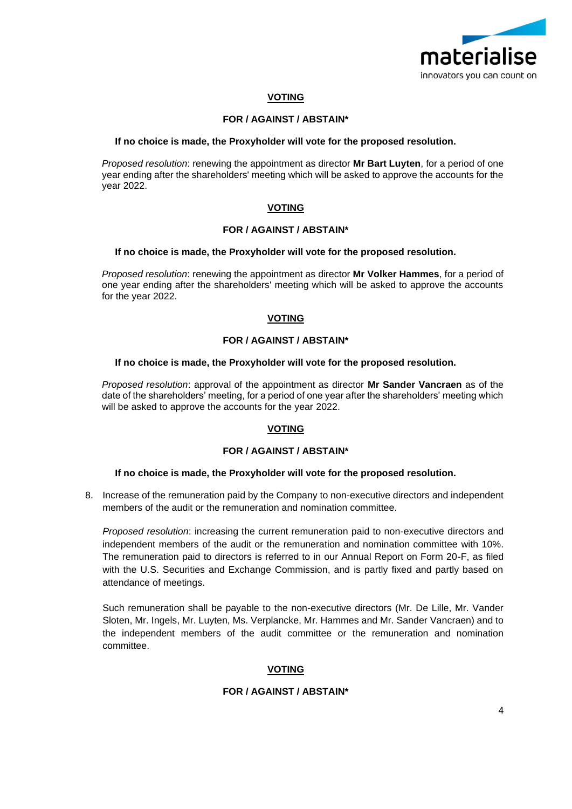

# **VOTING**

# **FOR / AGAINST / ABSTAIN\***

### **If no choice is made, the Proxyholder will vote for the proposed resolution.**

*Proposed resolution*: renewing the appointment as director **Mr Bart Luyten**, for a period of one year ending after the shareholders' meeting which will be asked to approve the accounts for the year 2022.

# **VOTING**

## **FOR / AGAINST / ABSTAIN\***

### **If no choice is made, the Proxyholder will vote for the proposed resolution.**

*Proposed resolution*: renewing the appointment as director **Mr Volker Hammes**, for a period of one year ending after the shareholders' meeting which will be asked to approve the accounts for the year 2022.

# **VOTING**

## **FOR / AGAINST / ABSTAIN\***

## **If no choice is made, the Proxyholder will vote for the proposed resolution.**

*Proposed resolution*: approval of the appointment as director **Mr Sander Vancraen** as of the date of the shareholders' meeting, for a period of one year after the shareholders' meeting which will be asked to approve the accounts for the year 2022.

# **VOTING**

## **FOR / AGAINST / ABSTAIN\***

#### **If no choice is made, the Proxyholder will vote for the proposed resolution.**

8. Increase of the remuneration paid by the Company to non-executive directors and independent members of the audit or the remuneration and nomination committee.

*Proposed resolution*: increasing the current remuneration paid to non-executive directors and independent members of the audit or the remuneration and nomination committee with 10%. The remuneration paid to directors is referred to in our Annual Report on Form 20-F, as filed with the U.S. Securities and Exchange Commission, and is partly fixed and partly based on attendance of meetings.

Such remuneration shall be payable to the non-executive directors (Mr. De Lille, Mr. Vander Sloten, Mr. Ingels, Mr. Luyten, Ms. Verplancke, Mr. Hammes and Mr. Sander Vancraen) and to the independent members of the audit committee or the remuneration and nomination committee.

## **VOTING**

# **FOR / AGAINST / ABSTAIN\***